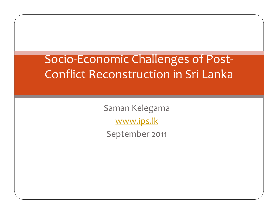Socio‐Economic Challenges of Post‐ Conflict Reconstruction in Sri Lanka

> Saman Kelegama www.ips.lk September <sup>2011</sup>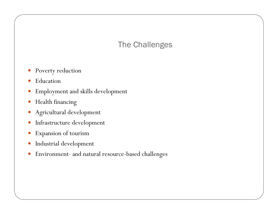# The Challenges

- $\bullet$ Poverty reduction
- $\bullet$ Education
- $\bullet$ Employment and skills development
- $\bullet$ Health financing
- $\bullet$ Agricultural development
- $\bullet$ Infrastructure development
- $\bullet$ Expansion of tourism
- $\bullet$ Industrial development
- $\bullet$ Environment- and natural resource-based challenges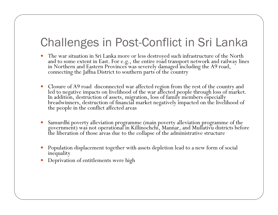# Challenges in Post-Conflict in Sri Lanka

- $\bullet$ The war situation in Sri Lanka more or less destroyed such infrastructure of the North<br>and to some extent in East. For e.g., the entire road transport network and railway lines<br>in Northern and Eastern Provinces was severel
- $\bullet$ Closure of A9 road disconnected war affected region from the rest of the country and<br>led to negative impacts on livelihood of the war affected people through loss of market.<br>In addition, destruction of assets, migration, l
- $\bullet$ Samurdhi poverty alleviation programme (main poverty alleviation programme of the government) was not operational in Killinochchi, Mannar, and Mullativu districts before the liberation of those areas due to the collapse of
- Population displacement together with assets depletion lead to a new form of social inequality
- $\bullet$ Deprivation of entitlements were high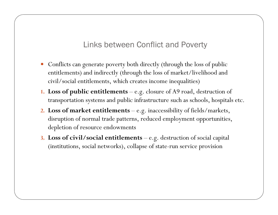### Links between Conflict and Poverty

- Conflicts can generate poverty both directly (through the loss of public entitlements) and indirectly (through the loss of market/livelihood and civil/social entitlements, which creates income inequalities)
- **1. Loss of public entitlements**  e.g. closure of A9 road, destruction of transportation systems and public infrastructure such as schools, hospitals etc.
- **2. Loss of market entitlements**  e.g. inaccessibility of fields/markets, disruption of normal trade patterns, reduced employment opportunities, depletion of resource endowments
- **3. Loss of civil/social entitlements**  e.g. destruction of social capital (institutions, social networks), collapse of state-run service provision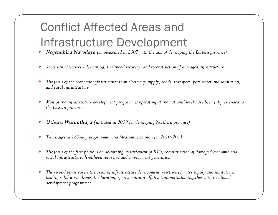# Conflict Affected Areas and Infrastructure Development

- $\bullet$ *Negenahira Navodaya (implemented in 2007 with the aim of developing the Eastern province)*
- $\bullet$ *Short run objectives - de-mining, livelihood recovery, and reconstruction of damaged infrastructure*
- 0 *The focus of the economic infrastructure is on electricity supply, roads, transport, port water and sanitation, and rural infrastructure*
- $\bullet$  *Most of the infrastructure development programmes operating at the national level have been fully extended to the Eastern province.*
- $\bullet$ *Uthuru Wasanthaya (initiated in 2009 for developing Northern province)*
- 0 *Two stages: a 180-day programme and Medium term plan for 2010-2011*
- $\bullet$ *The focus of the first phase is on de-mining, resettlement of IDPs, reconstruction of damaged economic and social infrastructure, livelihood recovery, and employment generation*
- $\bullet$  *The second phase covers the areas of infrastructure development, electricity, water supply and sanitation, health, solid waste disposal, education, sports, cultural affairs, transportation together with livelihood development programmes*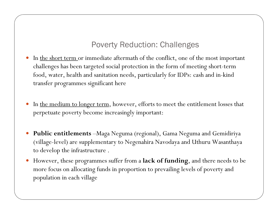### Poverty Reduction: Challenges

- $\bullet$ In the short term or immediate aftermath of the conflict, one of the most important challenges has been targeted social protection in the form of meeting short-term food, water, health and sanitation needs, particularly for IDPs: cash and in-kind transfer programmes significant here
- $\bullet$ In the medium to longer term, however, efforts to meet the entitlement losses that perpetuate poverty become increasingly important:
- y **Public entitlements** –Maga Neguma (regional), Gama Neguma and Gemidiriya (village-level) are supplementary to Negenahira Navodaya and Uthuru Wasanthaya to develop the infrastructure .
- y However, these programmes suffer from a **lack of funding**, and there needs to be more focus on allocating funds in proportion to prevailing levels of poverty and population in each village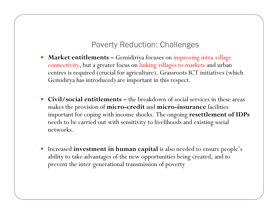#### Poverty Reduction: Challenges

- $\bullet$  **Market entitlements –** Gemidiriya focuses on improving intra-village connectivity, but a greater focus on linking villages to markets and urban centres is required (crucial for agriculture). Grassroots ICT initiatives (which Gemidirya has introduced) are important in this respect.
- y **Civil/social entitlements –** the breakdown of social services in these areas makes the provision of **micro-credit** and **micro-insurance** facilities important for coping with income shocks. The ongoing **resettlement of IDPs**  needs to be carried out with sensitivity to livelihoods and existing social networks.
- **•** Increased **investment in human capital** is also needed to ensure people's ability to take advantages of the new opportunities being created, and to prevent the inter-generational transmission of poverty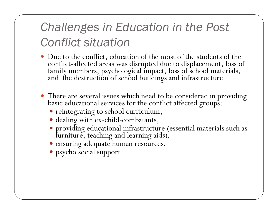# *Challenges in Education in the Post Conflict situation*

- Due to the conflict, education of the most of the students of the conflict-affected areas was disrupted due to displacement, loss of family members, psychological impact, loss of school materials, and the destruction of school buildings and infrastructure
- y There are several issues which need to be considered in providing basic educational services for the conflict affected groups:
	- reintegrating to school curriculum,
	- dealing with ex-child-combatants,
	- y providing educational infrastructure (essential materials such as furniture, teaching and learning aids),
	- $\bullet$  ensuring adequate human resources,
	- psycho social support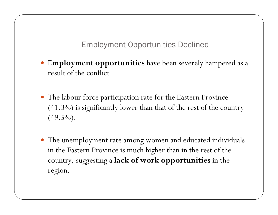Employment Opportunities Declined

- $\bullet$ <sup>E</sup>**mployment opportunities** have been severely hampered as a result of the conflict
- The labour force participation rate for the Eastern Province (41.3%) is significantly lower than that of the rest of the country  $(49.5\%)$ .
- The unemployment rate among women and educated individuals in the Eastern Province is much higher than in the rest of the country, suggesting a **lack of work opportunities** in the region.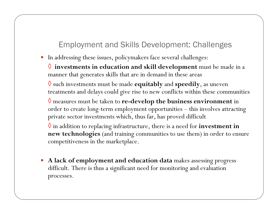## Employment and Skills Development: Challenges

- In addressing these issues, policymakers face several challenges:
	- ◊ **investments in education and skill development** must be made in a manner that generates skills that are in demand in these areas

◊ such investments must be made **equitably** and **speedily**, as uneven treatments and delays could give rise to new conflicts within these communities

◊ measures must be taken to **re-develop the business environment** in order to create long-term employment opportunities – this involves attracting private sector investments which, thus far, has proved difficult

 $\lozenge$  in addition to replacing infrastructure, there is a need for  $\mathbf{investment\ in}$ **new technologies** (and training communities to use them) in order to ensure competitiveness in the marketplace.

y **A lack of employment and education data** makes assessing progress difficult. There is thus a significant need for monitoring and evaluation processes.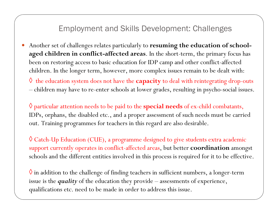#### Employment and Skills Development: Challenges

 $\bullet$  Another set of challenges relates particularly to **resuming the education of schoolaged children in conflict-affected areas**. In the short-term, the primary focus has been on restoring access to basic education for IDP camp and other conflict-affected children. In the longer term, however, more complex issues remain to be dealt with:

◊ the education system does not have the **capacity** to deal with reintegrating drop-outs children may have to re-enter schools at lower grades, resulting in psycho-social issues.

◊ particular attention needs to be paid to the **special needs** of ex-child combatants, IDPs, orphans, the disabled etc., and a proper assessment of such needs must be carried out. Training programmes for teachers in this regard are also desirable.

 $\lozenge$  Catch-Up Education (CUE), a programme designed to give students extra academic support currently operates in conflict-affected areas, but better **coordination** amongs<sup>t</sup> schools and the different entities involved in this process is required for it to be effective.

 $\Diamond$  in addition to the challenge of finding teachers in sufficient numbers, a longer-term issue is the *quality* of the education they provide – assessments of experience, qualifications etc. need to be made in order to address this issue.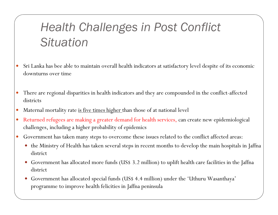# *Health Challenges in Post Conflict Situation*

- $\bullet$  Sri Lanka has bee able to maintain overall health indicators at satisfactory level despite of its economic downturns over time
- $\bullet$  There are regional disparities in health indicators and they are compounded in the conflict-affected districts
- $\bullet$ Maternal mortality rate is five times higher than those of at national level
- $\bullet$  Returned refugees are making a greater demand for health services, can create new epidemiological challenges, including a higher probability of epidemics
- $\bullet$  Government has taken many steps to overcome these issues related to the conflict affected areas:
	- the Ministry of Health has taken several steps in recent months to develop the main hospitals in Jaffna district
	- y Government has allocated more funds (US\$ 3.2 million) to uplift health care facilities in the Jaffna district
	- 0 Government has allocated special funds (US\$ 4.4 million) under the 'Uthuru Wasanthaya' programme to improve health felicities in Jaffna peninsula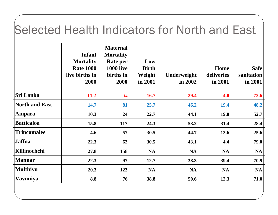# Selected Health Indicators for North and East

|                       | <b>Infant</b><br><b>Mortality</b><br><b>Rate 1000</b><br>live births in<br>2000 | <b>Maternal</b><br><b>Mortality</b><br>Rate per<br><b>1000 live</b><br>births in<br>2000 | Low<br><b>Birth</b><br>Weight<br>in 2001 | Underweight<br>in 2002 | Home<br>deliveries<br>in 2001 | <b>Safe</b><br>sanitation<br>in 2001 |
|-----------------------|---------------------------------------------------------------------------------|------------------------------------------------------------------------------------------|------------------------------------------|------------------------|-------------------------------|--------------------------------------|
| <b>Sri Lanka</b>      | <b>11.2</b>                                                                     | 14                                                                                       | 16.7                                     | 29.4                   | 4.0                           | 72.6                                 |
| <b>North and East</b> | 14.7                                                                            | 81                                                                                       | 25.7                                     | 46.2                   | 19.4                          | 48.2                                 |
| Ampara                | 10.3                                                                            | 24                                                                                       | 22.7                                     | 44.1                   | <b>19.8</b>                   | 52.7                                 |
| <b>Batticaloa</b>     | 15.8                                                                            | 117                                                                                      | 24.3                                     | 53.2                   | 31.4                          | 28.4                                 |
| <b>Trincomalee</b>    | 4.6                                                                             | 57                                                                                       | 30.5                                     | 44.7                   | 13.6                          | 25.6                                 |
| <b>Jaffna</b>         | 22.3                                                                            | 62                                                                                       | 30.5                                     | 43.1                   | 4.4                           | 79.0                                 |
| Killinochchi          | 27.8                                                                            | 158                                                                                      | <b>NA</b>                                | <b>NA</b>              | <b>NA</b>                     | <b>NA</b>                            |
| <b>Mannar</b>         | 22.3                                                                            | 97                                                                                       | 12.7                                     | 38.3                   | 39.4                          | 70.9                                 |
| <b>Multhivu</b>       | 20.3                                                                            | 123                                                                                      | <b>NA</b>                                | <b>NA</b>              | <b>NA</b>                     | <b>NA</b>                            |
| Vavuniya              | 8.8                                                                             | 76                                                                                       | 38.8                                     | 50.6                   | 12.3                          | 71.0                                 |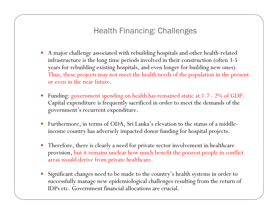Health Financing: Challenges

- $\bullet$  A major challenge associated with rebuilding hospitals and other health-related infrastructure is the long time periods involved in their construction (often 3-5 years for rebuilding existing hospitals, and even longer for building new ones). Thus, these projects may not meet the health needs of the population in the present or even in the near future.
- $\bullet$  Funding: government spending on health has remained static at 1.7 - 2% of GDP. Capital expenditure is frequently sacrificed in order to meet the demands of the governmen<sup>t</sup>'s recurrent expenditure.
- $\bullet$  Furthermore, in terms of ODA, Sri Lanka's elevation to the status of a middleincome country has adversely impacted donor funding for hospital projects.
- $\bullet$  Therefore, there is clearly a need for private sector involvement in healthcare provision, but it remains unclear how much benefit the poorest people in conflict areas would derive from private healthcare.
- $\bullet$  Significant changes need to be made to the country's health systems in order to successfully manage new epidemiological challenges resulting from the return of IDPs etc. Government financial allocations are crucial.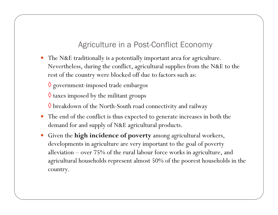### Agriculture in a Post-Conflict Economy

 $\bullet$  The N&E traditionally is a potentially important area for agriculture. Nevertheless, during the conflict, agricultural supplies from the N&E to the rest of the country were blocked off due to factors such as:

 $\lozenge$  government-imposed trade embargos

 $\Diamond$  taxes imposed by the militant groups

 $\lozenge$  breakdown of the North-South road connectivity and railway

- The end of the conflict is thus expected to generate increases in both the demand for and supply of N&E agricultural products.
- $\bullet$  Given the **high incidence of poverty** among agricultural workers, developments in agriculture are very important to the goal of poverty alleviation – over 75% of the rural labour force works in agriculture, and agricultural households represent almost 50% of the poorest households in the country.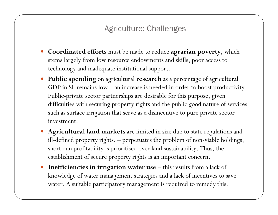#### Agriculture: Challenges

- y **Coordinated efforts** must be made to reduce **agrarian poverty**, which stems largely from low resource endowments and skills, poor access to technology and inadequate institutional support.
- y **Public spending** on agricultural **research** as a percentage of agricultural GDP in SL remains low – an increase is needed in order to boost productivity. Public-private sector partnerships are desirable for this purpose, given difficulties with securing property rights and the public good nature of services such as surface irrigation that serve as a disincentive to pure private sector investment.
- y **Agricultural land markets** are limited in size due to state regulations and ill-defined property rights. – perpetuates the problem of non-viable holdings, short-run profitability is prioritised over land sustainability. Thus, the establishment of secure property rights is an important concern.
- $\bullet$ Inefficiencies in irrigation water use - this results from a lack of knowledge of water management strategies and a lack of incentives to save water. A suitable participatory management is required to remedy this.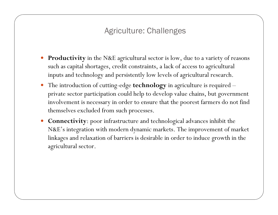## Agriculture: Challenges

- **Productivity** in the N&E agricultural sector is low, due to a variety of reasons such as capital shortages, credit constraints, a lack of access to agricultural inputs and technology and persistently low levels of agricultural research.
- y The introduction of cutting-edge **technology** in agriculture is required private sector participation could help to develop value chains, but government involvement is necessary in order to ensure that the poorest farmers do not find themselves excluded from such processes.
- **Connectivity**: poor infrastructure and technological advances inhibit the N&E's integration with modern dynamic markets. The improvement of market linkages and relaxation of barriers is desirable in order to induce growth in the agricultural sector.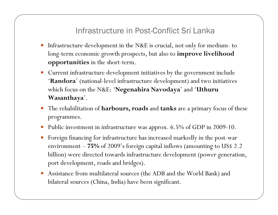### Infrastructure in Post-Conflict Sri Lanka

- y Infrastructure development in the N&E is crucial, not only for medium- to long-term economic growth prospects, but also to **improve livelihood opportunities** in the short-term.
- y Current infrastructure development initiatives by the government include '**Randora**' (national-level infrastructure development) and two initiatives which focus on the N&E: '**Negenahira Navodaya**' and '**Uthuru Wasanthaya**'.
- y The rehabilitation of **harbours, roads** and **tanks** are a primary focus of these programmes.
- $\bullet$ Public investment in infrastructure was approx. 6.5% of GDP in 2009-10.
- $\bullet$  Foreign financing for infrastructure has increased markedly in the post-war environment – **75%** of 2009's foreign capital inflows (amounting to US\$ 2.2 billion) were directed towards infrastructure development (power generation, port development, roads and bridges).
- $\bullet$  Assistance from multilateral sources (the ADB and the World Bank) and bilateral sources (China, India) have been significant.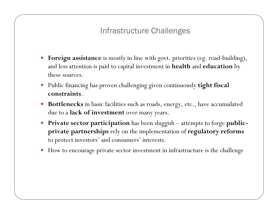## Infrastructure Challenges

- **Foreign assistance** is mostly in line with govt. priorities (eg. road-building), and less attention is paid to capital investment in **health** and **education** by these sources.
- y Public financing has proven challenging given continuously **tight fiscal constraints**.
- y **Bottlenecks** in basic facilities such as roads, energy, etc., have accumulated due to a **lack of investment** over many years.
- $\bullet$  **Private sector participation** has been sluggish – attempts to forge **publicprivate partnerships** rely on the implementation of **regulatory reforms**  to protect investors' and consumers' interests.
- $\bullet$ How to encourage private sector investment in infrastructure is the challenge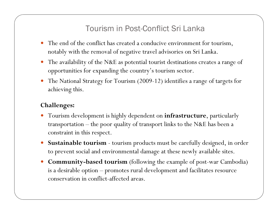### Tourism in Post-Conflict Sri Lanka

- The end of the conflict has created a conducive environment for tourism, notably with the removal of negative travel advisories on Sri Lanka.
- The availability of the N&E as potential tourist destinations creates a range of opportunities for expanding the country's tourism sector.
- $\bullet$  The National Strategy for Tourism (2009-12) identifies a range of targets for achieving this.

#### **Challenges:**

- y Tourism development is highly dependent on **infrastructure**, particularly transportation – the poor quality of transport links to the N&E has been a constraint in this respect.
- $\bullet$  **Sustainable tourism** - tourism products must be carefully designed, in order to prevent social and environmental damage at these newly available sites.
- $\bullet$  **Community-based tourism** (following the example of post-war Cambodia) is a desirable option – promotes rural development and facilitates resource conservation in conflict-affected areas.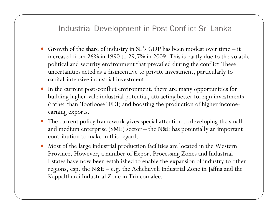#### Industrial Development in Post-Conflict Sri Lanka

- y Growth of the share of industry in SL's GDP has been modest over time it increased from 26% in 1990 to 29.7% in 2009. This is partly due to the volatile political and security environment that prevailed during the conflict.These uncertainties acted as a disincentive to private investment, particularly to capital-intensive industrial investment.
- In the current post-conflict environment, there are many opportunities for building higher-vale industrial potential, attracting better foreign investments (rather than 'footloose' FDI) and boosting the production of higher incomeearning exports.
- The current policy framework gives special attention to developing the small and medium enterprise (SME) sector – the N&E has potentially an important contribution to make in this regard.
- $\bullet$  Most of the large industrial production facilities are located in the Western Province. However, a number of Export Processing Zones and Industrial Estates have now been established to enable the expansion of industry to other regions, esp. the N&E – e.g. the Achchuveli Industrial Zone in Jaffna and the Kappalthurai Industrial Zone in Trincomalee.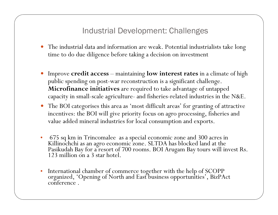#### Industrial Development: Challenges

- The industrial data and information are weak. Potential industrialists take long time to do due diligence before taking a decision on investment
- y Improve **credit access**  maintaining **low interest rates** in a climate of high public spending on post-war reconstruction is a significant challenge. **Microfinance initiatives** are required to take advantage of untapped capacity in small-scale agriculture- and fisheries-related industries in the N&E.
- y The BOI categorises this area as 'most difficult areas' for granting of attractive incentives: the BOI will give priority focus on agro processing, fisheries and value added mineral industries for local consumption and exports.
- •675 sq km in Trincomalee as a special economic zone and 300 acres in<br>Killinochchi as an agro economic zone. SLTDA has blocked land at the<br>Pasikudah Bay for a resort of 700 rooms. BOI Arugam Bay tours will invest Rs.<br>123 mi
- •International chamber of commerce together with the help of SCOPP organized, 'Opening of North and East business opportunities', BizPAct conference .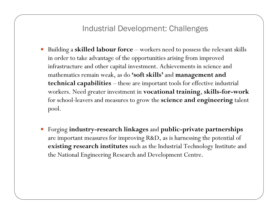#### Industrial Development: Challenges

- $\bullet$  Building a **skilled labour force** – workers need to possess the relevant skills in order to take advantage of the opportunities arising from improved infrastructure and other capital investment. Achievements in science and mathematics remain weak, as do **'soft skills'** and **management and technical capabilities** – these are important tools for effective industrial workers. Need greater investment in **vocational training**, **skills-for-work**  for school-leavers and measures to grow the **science and engineering** talent pool.
- $\bullet$  Forging **industry-research linkages** and **public-private partnerships**  are important measures for improving R&D, as is harnessing the potential of **existing research institutes** such as the Industrial Technology Institute and the National Engineering Research and Development Centre.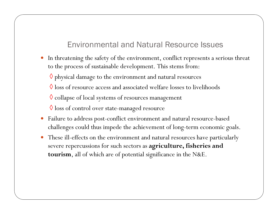### Environmental and Natural Resource Issues

 $\bullet$  In threatening the safety of the environment, conflict represents a serious threat to the process of sustainable development. This stems from:

 $\Diamond$  physical damage to the environment and natural resources

 $\Diamond$  loss of resource access and associated welfare losses to livelihoods

 $\lozenge$  collapse of local systems of resources management

 $\lozenge$  loss of control over state-managed resource

- $\bullet$  Failure to address post-conflict environment and natural resource-based challenges could thus impede the achievement of long-term economic goals.
- $\bullet$  These ill-effects on the environment and natural resources have particularly severe repercussions for such sectors as **agriculture, fisheries and tourism**, all of which are of potential significance in the N&E.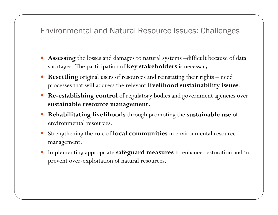#### Environmental and Natural Resource Issues: Challenges

- **Assessing** the losses and damages to natural systems –difficult because of data shortages. The participation of **key stakeholders** is necessary.
- $\bullet$  **Resettling** original users of resources and reinstating their rights – need processes that will address the relevant **livelihood sustainability issues**.
- $\bullet$  **Re-establishing control** of regulatory bodies and government agencies over **sustainable resource management.**
- y **Rehabilitating livelihoods** through promoting the **sustainable use** of environmental resources.
- $\bullet$  Strengthening the role of **local communities** in environmental resource management.
- y Implementing appropriate **safeguard measures** to enhance restoration and to prevent over-exploitation of natural resources.